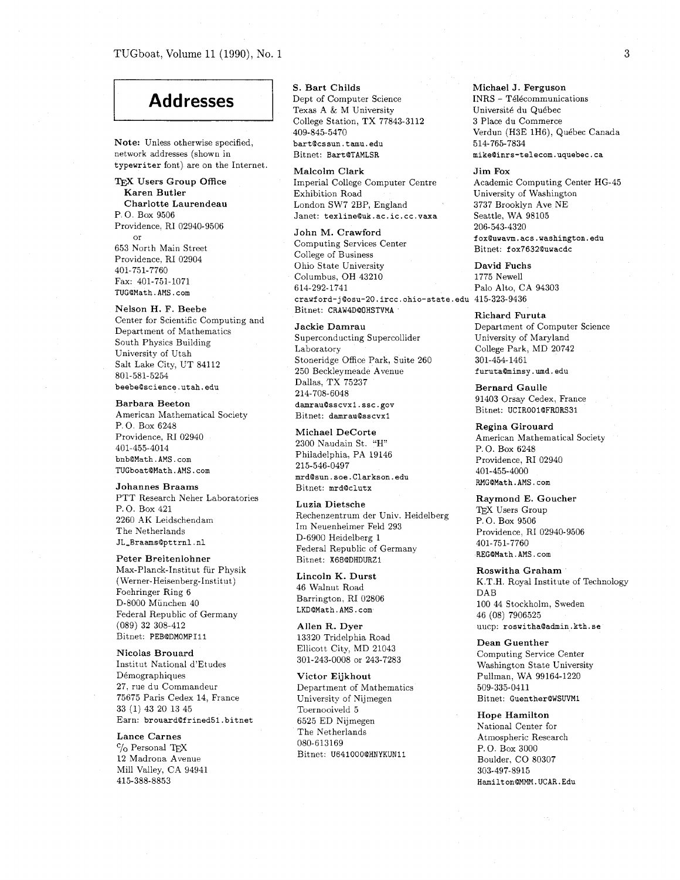## TUGboat, Volume 11 (1990), No. 1

Note: Unless otherwise specified, **bartQcssun.tamu.edu**  network addresses (shown in Bitnet: BartQTAMLSR **typewriter** font) are on the Internet.

Karen Butler Exhibition Road<br>Charlotte Laurendeau London SW7 2B Charlotte Laurendeau London SW7 2BP, England<br>P.O. Box 9506 (Danet: texline@uk.ac.ic.c Providence, RI 02940-9506 or 653 North Main Street Providence, RI 02904 401-751-7760 Fax: 401-751-1071 **lWGQMath.AMS.com** 

Nelson H. F. Beebe Center for Scientific Computing and Department of Mathematics South Physics Building University of Utah Salt Lake City, UT 84112 801-581-5254 beebe@science.utah.edu

Barbara Beeton American Mathematical Society P. 0. Box 6248 Providence, RI 02940 401-455-4014 **bnbQMath.AMS.com TUGboatQMath.AMS.com** 

Johannes Braams PTT Research Neher Laboratories P. 0. Box 421 2260 AK Leidschendam The Netherlands **JL-BraamsQpttrnl.nl** 

Peter Breitenlohner Max-Planck-Institut fur Physik ( Werner-Heisenberg-Institut) Foehringer Ring 6 D-8000 Munchen 40 Federal Republic of Germany (089) 32 308-412 Bitnet: **PEBQDMOMPIll** 

Nicolas Brouard Institut National d'Etudes Demographiques 27, rue du Commandeur 75675 Paris Cedex 14, France 33 (1) 43 20 13 45 Earn: **brouard@frined51.bitnet** 

Lance Carnes  $\gamma$ <sub>O</sub> Personal T<sub>E</sub>X 12 Madrona Avenue Mill Valley, CA 94941 415-388-8853

S. Bart Childs

Addresses **1 Dept of Computer Science <sup>I</sup>**I College Station, TX 77843-3112 409-845-5470

Malcolm Clark **TEX Users Group Office** Imperial College Computer Centre<br> **Karen Butler Exhibition Road** Janet: texline@uk.ac.ic.cc.vaxa

> John M. Crawford Computing Services Center College of Business Ohio State University **David Fuchs**<br>
> Columbus, OH 43210 1775 Newell Columbus, OH 43210<br>614-292-1741 **crawford-~Qosu-20.ircc.ohlo-state.edu** 415-323-9436 Bitnet: CRAW4D@OHSTVMA<br> **Bitnet: CRAW4D@OHSTVMA**<br> **Richard Furuta**<br>
> Department of Co

Superconducting Supercollider Laboratory College Park, MD 20742<br>Stoneridge Office Park, Suite 260 301-454-1461 Stoneridge Office Park, Suite 260 301-454-1461<br>250 Beckleymeade Avenue furuta@mimsy.umd.edu 250 Beckleymeade Avenue Dallas, TX 75237 214-708-6048 **damrauQsscvxl.ssc.gov**  Bitnet: **damrauQsscvx1** 

Philadelphia, PA 19146 Providence, RI 02940<br>215-546-0497 Providence, RI 02940 **mrdQsun.soe.Clarkson.edu**   $Bitnet: mrd@clutz$ 

Raymond E. Goucher<br>
Raymond E. Goucher<br>
TFX Users Group Rechenzentrum der Univ. Heidelberg  $P_{\text{P}}$ O. Box 9506 Im Neuenheimer Feld 293<br>D-6900 Heidelberg 1 Federal Republic of Germany 401-751-7760<br>REGGMath.AMS.com **REG@Math.AMS.com** Bitnet: **X68QDHDURZi** 

Lincoln K. Durst 46 Walnut Road Barrington, RI 02806 **LKDQMath** . **AMS** . **corn** 

Allen R. Dyer 13320 Tridelphia Road Ellicott City, MD 21043 301-243-0008 or 243-7283

Victor Eijkhout Department of Mathematics University of Nijmegen Toernooiveld 5 6525 ED Nijmegen The Netherlands 080-613169 Bitnet: **U641000QHNYKUNLl** 

Michael J. Ferguson  $INRS - Télécommunication$ Université du Québec 3 Place du Commerce Verdun (H3E 1H6), Quebec Canada 514-765-7834 **mikeQinrs-telecom.uquebec.ca** 

Jim Fox

Academic Computing Center HG-45 University of Washington 3737 Brooklyn Ave NE Seattle, WA 98105 206-543-4320 **foxQuwavm.acs.washington.edu**  Bitnet: f **ox7632Quwacdc** 

Palo Alto, CA 94303

Department of Computer Science<br>University of Maryland

Bernard Gaulle 91403 Orsay Cedex, France Bitnet: **UCIROOlQFRORS31** 

Michael DeCorte Regina Girouard<br>
2300 Naudain St. "H"<br>
P.O. Box 6248<br>
P.O. Box 6248 401-455-4000<br>RMG@Math.AMS.com

Providence, RI 02940-9506<br>401-751-7760

Roswitha Graham K.T.H. Royal Institute of Technology DAB 100 44 Stockholm, Sweden 46 (08) 7906525 uucp: **roswithaQadmin.kth.se** 

Dean Guenther Computing Service Center Washington State University Pullman, WA 99164-1220 509-335-0411 Bitnet: **GuentherOWSWMl** 

Hope Hamilton National Center for Atmospheric Research P. 0. Box 3000 Boulder. CO 80307 303-497-8915 **Hanilt onQMMN. UCAR. Edu**